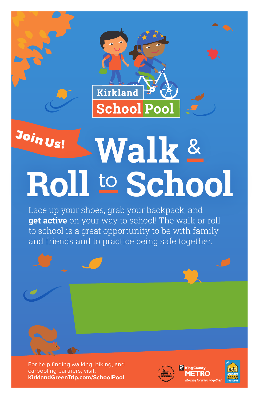

## <sup>J</sup>oi<sup>n</sup> <sup>U</sup>s! **Roll** to **School Walk** &

Lace up your shoes, grab your backpack, and **get active** on your way to school! The walk or roll to school is a great opportunity to be with family and friends and to practice being safe together.



For help finding walking, biking, and carpooling partners, visit: **KirklandGreenTrip.com/SchoolPool**